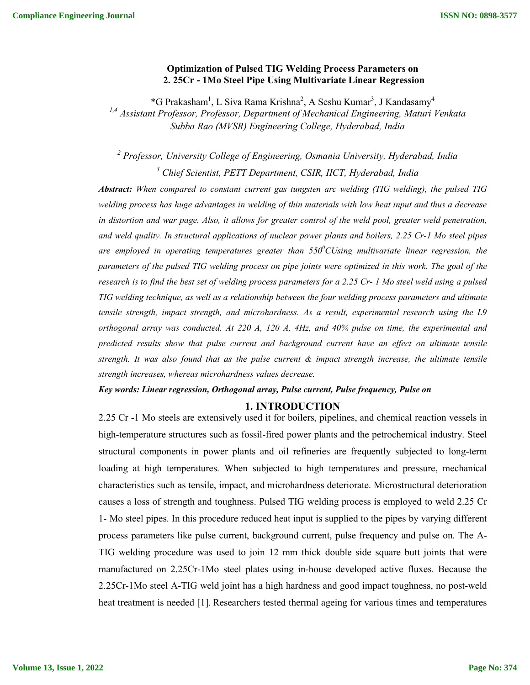# **Optimization of Pulsed TIG Welding Process Parameters on 2. 25Cr - 1Mo Steel Pipe Using Multivariate Linear Regression**

\*G Prakasham<sup>1</sup>, L Siva Rama Krishna<sup>2</sup>, A Seshu Kumar<sup>3</sup>, J Kandasamy<sup>4</sup> *1,4 Assistant Professor, Professor, Department of Mechanical Engineering, Maturi Venkata Subba Rao (MVSR) Engineering College, Hyderabad, India*

*<sup>2</sup> Professor, University College of Engineering, Osmania University, Hyderabad, India <sup>3</sup> Chief Scientist, PETT Department, CSIR, IICT, Hyderabad, India*

*Abstract: When compared to constant current gas tungsten arc welding (TIG welding), the pulsed TIG welding process has huge advantages in welding of thin materials with low heat input and thus a decrease in distortion and war page. Also, it allows for greater control of the weld pool, greater weld penetration, and weld quality. In structural applications of nuclear power plants and boilers, 2.25 Cr-1 Mo steel pipes*  are employed in operating temperatures greater than 550<sup>0</sup>CUsing multivariate linear regression, the *parameters of the pulsed TIG welding process on pipe joints were optimized in this work. The goal of the research is to find the best set of welding process parameters for a 2.25 Cr- 1 Mo steel weld using a pulsed TIG welding technique, as well as a relationship between the four welding process parameters and ultimate tensile strength, impact strength, and microhardness. As a result, experimental research using the L9 orthogonal array was conducted. At 220 A, 120 A, 4Hz, and 40% pulse on time, the experimental and predicted results show that pulse current and background current have an effect on ultimate tensile strength. It was also found that as the pulse current & impact strength increase, the ultimate tensile strength increases, whereas microhardness values decrease.*

## *Key words: Linear regression, Orthogonal array, Pulse current, Pulse frequency, Pulse on*

### **1. INTRODUCTION**

2.25 Cr -1 Mo steels are extensively used it for boilers, pipelines, and chemical reaction vessels in high-temperature structures such as fossil-fired power plants and the petrochemical industry. Steel structural components in power plants and oil refineries are frequently subjected to long-term loading at high temperatures. When subjected to high temperatures and pressure, mechanical characteristics such as tensile, impact, and microhardness deteriorate. Microstructural deterioration causes a loss of strength and toughness. Pulsed TIG welding process is employed to weld 2.25 Cr 1- Mo steel pipes. In this procedure reduced heat input is supplied to the pipes by varying different process parameters like pulse current, background current, pulse frequency and pulse on. The A-TIG welding procedure was used to join 12 mm thick double side square butt joints that were manufactured on 2.25Cr-1Mo steel plates using in-house developed active fluxes. Because the 2.25Cr-1Mo steel A-TIG weld joint has a high hardness and good impact toughness, no post-weld heat treatment is needed [1]. Researchers tested thermal ageing for various times and temperatures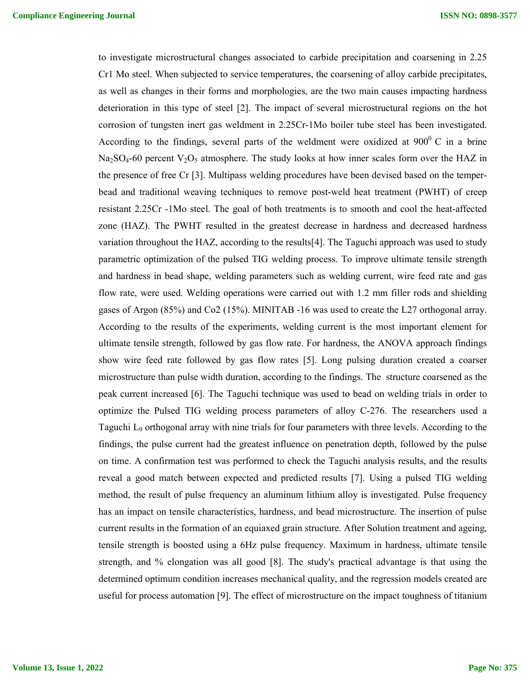to investigate microstructural changes associated to carbide precipitation and coarsening in 2.25 Cr1 Mo steel. When subjected to service temperatures, the coarsening of alloy carbide precipitates, as well as changes in their forms and morphologies, are the two main causes impacting hardness deterioration in this type of steel [2]. The impact of several microstructural regions on the hot corrosion of tungsten inert gas weldment in 2.25Cr-1Mo boiler tube steel has been investigated. According to the findings, several parts of the weldment were oxidized at  $900^{\circ}$  C in a brine  $Na<sub>2</sub>SO<sub>4</sub>$ -60 percent  $V<sub>2</sub>O<sub>5</sub>$  atmosphere. The study looks at how inner scales form over the HAZ in the presence of free Cr [3]. Multipass welding procedures have been devised based on the temperbead and traditional weaving techniques to remove post-weld heat treatment (PWHT) of creep resistant 2.25Cr -1Mo steel. The goal of both treatments is to smooth and cool the heat-affected zone (HAZ). The PWHT resulted in the greatest decrease in hardness and decreased hardness variation throughout the HAZ, according to the results[4]. The Taguchi approach was used to study parametric optimization of the pulsed TIG welding process. To improve ultimate tensile strength and hardness in bead shape, welding parameters such as welding current, wire feed rate and gas flow rate, were used. Welding operations were carried out with 1.2 mm filler rods and shielding gases of Argon (85%) and Co2 (15%). MINITAB -16 was used to create the L27 orthogonal array. According to the results of the experiments, welding current is the most important element for ultimate tensile strength, followed by gas flow rate. For hardness, the ANOVA approach findings show wire feed rate followed by gas flow rates [5]. Long pulsing duration created a coarser microstructure than pulse width duration, according to the findings. The structure coarsened as the peak current increased [6]. The Taguchi technique was used to bead on welding trials in order to optimize the Pulsed TIG welding process parameters of alloy C-276. The researchers used a Taguchi L9 orthogonal array with nine trials for four parameters with three levels. According to the findings, the pulse current had the greatest influence on penetration depth, followed by the pulse on time. A confirmation test was performed to check the Taguchi analysis results, and the results reveal a good match between expected and predicted results [7]. Using a pulsed TIG welding method, the result of pulse frequency an aluminum lithium alloy is investigated. Pulse frequency has an impact on tensile characteristics, hardness, and bead microstructure. The insertion of pulse current results in the formation of an equiaxed grain structure. After Solution treatment and ageing, tensile strength is boosted using a 6Hz pulse frequency. Maximum in hardness, ultimate tensile strength, and % elongation was all good [8]. The study's practical advantage is that using the determined optimum condition increases mechanical quality, and the regression models created are useful for process automation [9]. The effect of microstructure on the impact toughness of titanium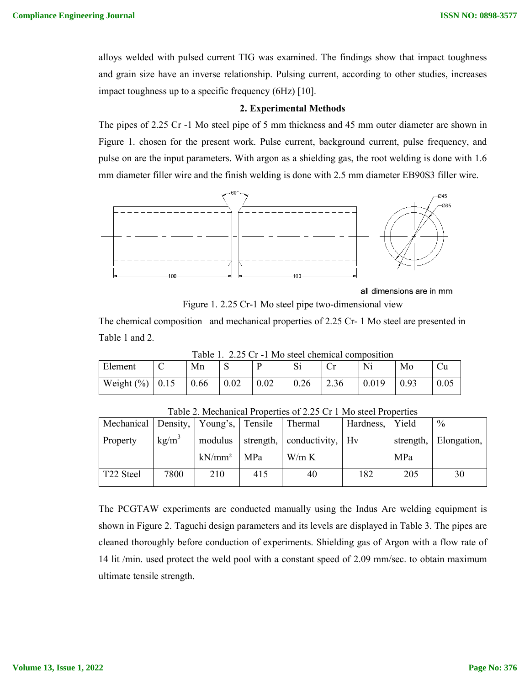alloys welded with pulsed current TIG was examined. The findings show that impact toughness and grain size have an inverse relationship. Pulsing current, according to other studies, increases impact toughness up to a specific frequency (6Hz) [10].

### **2. Experimental Methods**

The pipes of 2.25 Cr -1 Mo steel pipe of 5 mm thickness and 45 mm outer diameter are shown in Figure 1. chosen for the present work. Pulse current, background current, pulse frequency, and pulse on are the input parameters. With argon as a shielding gas, the root welding is done with 1.6 mm diameter filler wire and the finish welding is done with 2.5 mm diameter EB90S3 filler wire.



all dimensions are in mm

Figure 1. 2.25 Cr-1 Mo steel pipe two-dimensional view

 $T<sub>ch</sub>1<sub>2</sub> 1.25 C<sub>r</sub> 1 M<sub>o</sub>$  steel chemical composition

The chemical composition and mechanical properties of 2.25 Cr- 1 Mo steel are presented in Table 1 and 2.

| Table 1. $2.23$ CI -1 NIO steel chemical composition |      |      |      |      |                   |      |       |      |  |
|------------------------------------------------------|------|------|------|------|-------------------|------|-------|------|--|
| Element                                              |      | Mn   |      |      | $\Omega$ :<br>الا |      | Ni    | Mo   |  |
| Weight $(\% )$                                       | 0.15 | 0.66 | 0.02 | 0.02 | 0.26              | 2.36 | 0.019 | 0.93 |  |

Mechanical Property Density,  $kg/m<sup>3</sup>$ Young's, modulus kN/mm² Tensile strength, MPa Thermal conductivity, W/m K Hardness, Hv Yield strength, MPa  $\frac{0}{0}$ Elongation, T22 Steel | 7800 | 210 | 415 | 40 | 182 | 205 | 30

Table 2. Mechanical Properties of 2.25 Cr 1 Mo steel Properties

The PCGTAW experiments are conducted manually using the Indus Arc welding equipment is shown in Figure 2. Taguchi design parameters and its levels are displayed in Table 3. The pipes are cleaned thoroughly before conduction of experiments. Shielding gas of Argon with a flow rate of 14 lit /min. used protect the weld pool with a constant speed of 2.09 mm/sec. to obtain maximum ultimate tensile strength.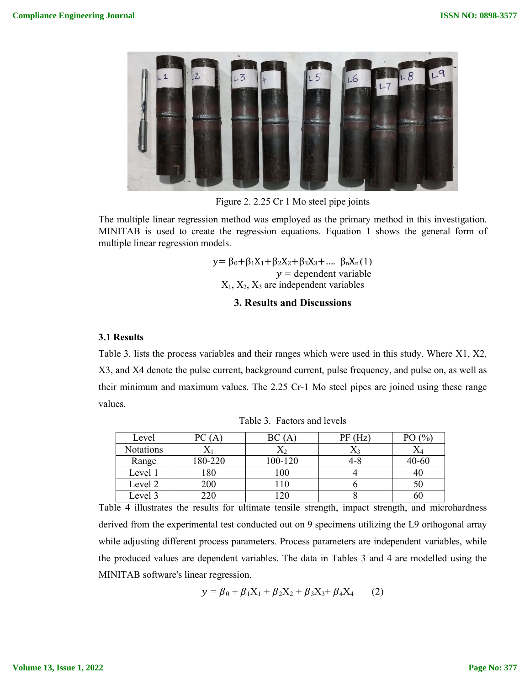

Figure 2. 2.25 Cr 1 Mo steel pipe joints

The multiple linear regression method was employed as the primary method in this investigation. MINITAB is used to create the regression equations. Equation 1 shows the general form of multiple linear regression models.

> y= β<sub>0</sub>+β<sub>1</sub>X<sub>1</sub>+β<sub>2</sub>X<sub>2</sub>+β<sub>3</sub>X<sub>3</sub>+.... β<sub>n</sub>X<sub>n</sub>(1)  $y =$  dependent variable  $X_1, X_2, X_3$  are independent variables

# **3. Results and Discussions**

## **3.1 Results**

Table 3. lists the process variables and their ranges which were used in this study. Where X1, X2, X3, and X4 denote the pulse current, background current, pulse frequency, and pulse on, as well as their minimum and maximum values. The 2.25 Cr-1 Mo steel pipes are joined using these range values.

| Level            | PC (    | BC(A)   | PF(Hz)      | PO (% |
|------------------|---------|---------|-------------|-------|
| <b>Notations</b> |         | Δ2      | $\Lambda$ 3 | A4    |
| Range            | 180-220 | 100-120 | ⊀-4         | 40-60 |
| Level 1          | 80      | 100     |             | 4U    |
| Level 2          | 200     | 10      |             | 50    |
| Level 3          | 20      | 20      |             | 6U    |

Table 3. Factors and levels

Table 4 illustrates the results for ultimate tensile strength, impact strength, and microhardness derived from the experimental test conducted out on 9 specimens utilizing the L9 orthogonal array while adjusting different process parameters. Process parameters are independent variables, while the produced values are dependent variables. The data in Tables 3 and 4 are modelled using the MINITAB software's linear regression.

$$
y = \beta_0 + \beta_1 X_1 + \beta_2 X_2 + \beta_3 X_3 + \beta_4 X_4 \qquad (2)
$$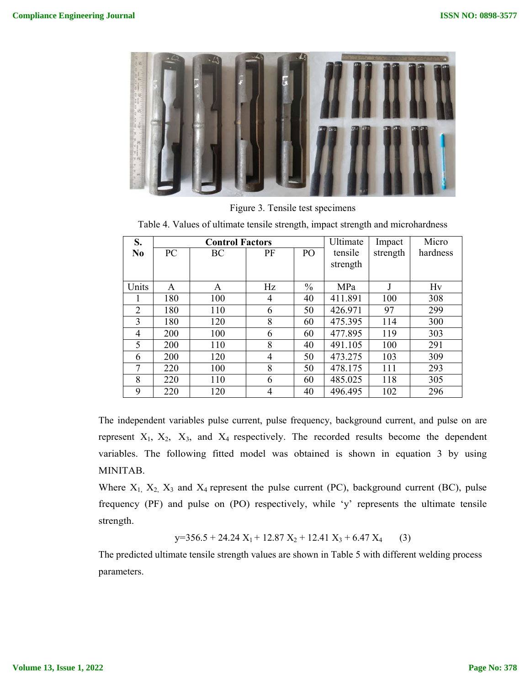

Figure 3. Tensile test specimens

| S.             |     | <b>Control Factors</b> |    | Ultimate        | Impact   | Micro    |          |
|----------------|-----|------------------------|----|-----------------|----------|----------|----------|
| N <sub>0</sub> | PC  | BC                     | PF | PO <sub>1</sub> | tensile  | strength | hardness |
|                |     |                        |    |                 | strength |          |          |
|                |     |                        |    |                 |          |          |          |
| Units          | A   | A                      | Hz | $\frac{0}{0}$   | MPa      |          | Hv       |
|                | 180 | 100                    | 4  | 40              | 411.891  | 100      | 308      |
| $\overline{2}$ | 180 | 110                    | 6  | 50              | 426.971  | 97       | 299      |
| 3              | 180 | 120                    | 8  | 60              | 475.395  | 114      | 300      |
| 4              | 200 | 100                    | 6  | 60              | 477.895  | 119      | 303      |
| 5              | 200 | 110                    | 8  | 40              | 491.105  | 100      | 291      |
| 6              | 200 | 120                    | 4  | 50              | 473.275  | 103      | 309      |
| 7              | 220 | 100                    | 8  | 50              | 478.175  | 111      | 293      |
| 8              | 220 | 110                    | 6  | 60              | 485.025  | 118      | 305      |
| 9              | 220 | 120                    | 4  | 40              | 496.495  | 102      | 296      |

Table 4. Values of ultimate tensile strength, impact strength and microhardness

The independent variables pulse current, pulse frequency, background current, and pulse on are represent  $X_1$ ,  $X_2$ ,  $X_3$ , and  $X_4$  respectively. The recorded results become the dependent variables. The following fitted model was obtained is shown in equation 3 by using MINITAB.

Where  $X_1$ ,  $X_2$ ,  $X_3$  and  $X_4$  represent the pulse current (PC), background current (BC), pulse frequency (PF) and pulse on (PO) respectively, while 'y' represents the ultimate tensile strength.

 $y=356.5 + 24.24 X_1 + 12.87 X_2 + 12.41 X_3 + 6.47 X_4$  (3)

The predicted ultimate tensile strength values are shown in Table 5 with different welding process parameters.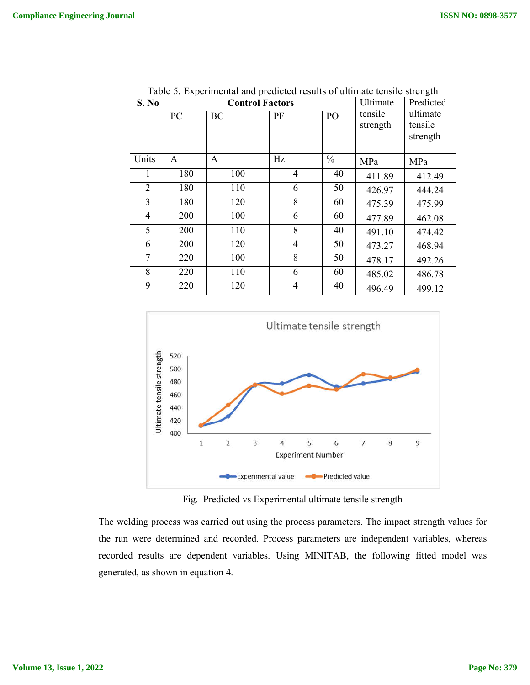| S. No          |     | <b>Control Factors</b> | Ultimate       | o<br>Predicted |          |          |
|----------------|-----|------------------------|----------------|----------------|----------|----------|
|                | PC  | <b>BC</b>              | PF             | PO             | tensile  | ultimate |
|                |     |                        |                |                | strength | tensile  |
|                |     |                        |                |                |          | strength |
| Units          | A   | A                      | Hz             | $\frac{0}{0}$  | MPa      | MPa      |
| 1              | 180 | 100                    | $\overline{4}$ | 40             | 411.89   | 412.49   |
| $\overline{2}$ | 180 | 110                    | 6              | 50             | 426.97   | 444.24   |
| 3              | 180 | 120                    | 8              | 60             | 475.39   | 475.99   |
| 4              | 200 | 100                    | 6              | 60             | 477.89   | 462.08   |
| 5              | 200 | 110                    | 8              | 40             | 491.10   | 474.42   |
| 6              | 200 | 120                    | $\overline{4}$ | 50             | 473.27   | 468.94   |
| 7              | 220 | 100                    | 8              | 50             | 478.17   | 492.26   |
| 8              | 220 | 110                    | 6              | 60             | 485.02   | 486.78   |
| 9              | 220 | 120                    | $\overline{4}$ | 40             | 496.49   | 499.12   |

Table 5. Experimental and predicted results of ultimate tensile strength



Fig. Predicted vs Experimental ultimate tensile strength

The welding process was carried out using the process parameters. The impact strength values for the run were determined and recorded. Process parameters are independent variables, whereas recorded results are dependent variables. Using MINITAB, the following fitted model was generated, as shown in equation 4.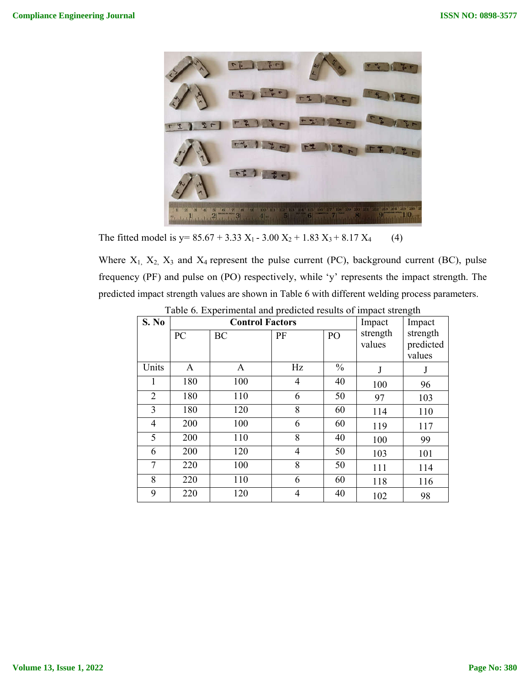

The fitted model is  $y= 85.67 + 3.33 X_1 - 3.00 X_2 + 1.83 X_3 + 8.17 X_4$  (4)

Where  $X_1$ ,  $X_2$ ,  $X_3$  and  $X_4$  represent the pulse current (PC), background current (BC), pulse frequency (PF) and pulse on (PO) respectively, while 'y' represents the impact strength. The predicted impact strength values are shown in Table 6 with different welding process parameters.

|                |     |                        |                |               |          | $\tilde{\phantom{a}}$ |
|----------------|-----|------------------------|----------------|---------------|----------|-----------------------|
| S. No          |     | <b>Control Factors</b> | Impact         | Impact        |          |                       |
|                | PC  | BC                     | PF             | PO            | strength | strength              |
|                |     |                        |                |               | values   | predicted             |
|                |     |                        |                |               |          | values                |
| Units          | A   | A                      | Hz             | $\frac{0}{0}$ | $\bf J$  | J                     |
| 1              | 180 | 100                    | 4              | 40            | 100      | 96                    |
| $\overline{2}$ | 180 | 110                    | 6              | 50            | 97       | 103                   |
| 3              | 180 | 120                    | 8              | 60            | 114      | 110                   |
| 4              | 200 | 100                    | 6              | 60            | 119      | 117                   |
| 5              | 200 | 110                    | 8              | 40            | 100      | 99                    |
| 6              | 200 | 120                    | $\overline{4}$ | 50            | 103      | 101                   |
| 7              | 220 | 100                    | 8              | 50            | 111      | 114                   |
| 8              | 220 | 110                    | 6              | 60            | 118      | 116                   |
| 9              | 220 | 120                    | 4              | 40            | 102      | 98                    |

Table 6. Experimental and predicted results of impact strength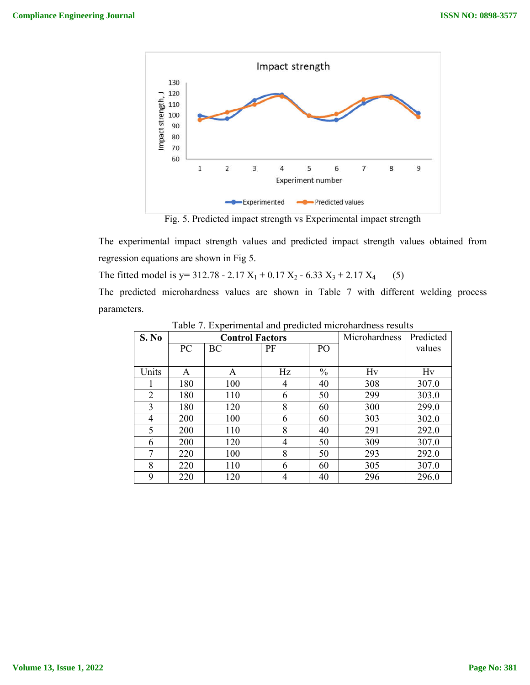

Fig. 5. Predicted impact strength vs Experimental impact strength

The experimental impact strength values and predicted impact strength values obtained from regression equations are shown in Fig 5.

The fitted model is  $y= 312.78 - 2.17 X_1 + 0.17 X_2 - 6.33 X_3 + 2.17 X_4$  (5)

The predicted microhardness values are shown in Table 7 with different welding process parameters.

| S. No          |     | <b>Control Factors</b> |    | Microhardness  | Predicted |        |
|----------------|-----|------------------------|----|----------------|-----------|--------|
|                | PC  | BC                     | PF | P <sub>O</sub> |           | values |
|                |     |                        |    |                |           |        |
| Units          | A   | A                      | Hz | $\frac{0}{0}$  | Hv        | Hv     |
|                | 180 | 100                    | 4  | 40             | 308       | 307.0  |
| $\overline{2}$ | 180 | 110                    | 6  | 50             | 299       | 303.0  |
| 3              | 180 | 120                    | 8  | 60             | 300       | 299.0  |
| 4              | 200 | 100                    | 6  | 60             | 303       | 302.0  |
| 5              | 200 | 110                    | 8  | 40             | 291       | 292.0  |
| 6              | 200 | 120                    | 4  | 50             | 309       | 307.0  |
| 7              | 220 | 100                    | 8  | 50             | 293       | 292.0  |
| 8              | 220 | 110                    | 6  | 60             | 305       | 307.0  |
| 9              | 220 | 120                    | 4  | 40             | 296       | 296.0  |

Table 7. Experimental and predicted microhardness results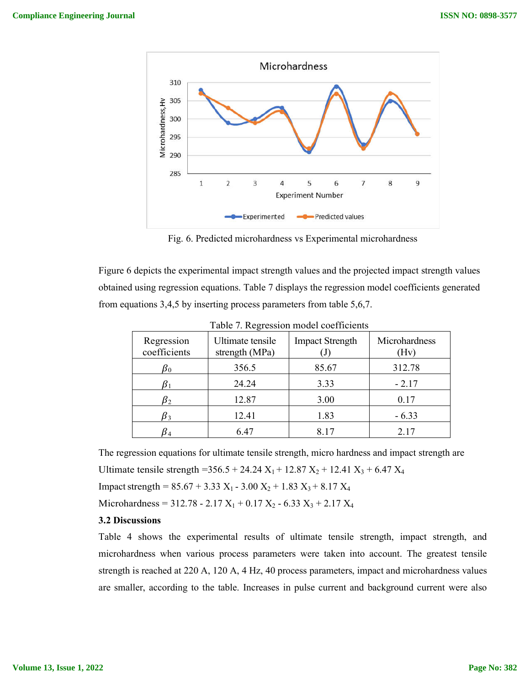

Fig. 6. Predicted microhardness vs Experimental microhardness

Figure 6 depicts the experimental impact strength values and the projected impact strength values obtained using regression equations. Table 7 displays the regression model coefficients generated from equations 3,4,5 by inserting process parameters from table 5,6,7.

| Regression<br>coefficients | Ultimate tensile<br>strength (MPa) | <b>Impact Strength</b> | Microhardness<br>Hv) |  |
|----------------------------|------------------------------------|------------------------|----------------------|--|
| $\pmb{\beta}_0$            | 356.5                              | 85.67                  | 312.78               |  |
|                            | 24.24                              | 3.33                   | $-2.17$              |  |
| $\pmb{\beta}_2$            | 12.87                              | 3.00                   | 0.17                 |  |
| $\beta_3$                  | 12.41                              | 1.83                   | $-6.33$              |  |
|                            | 6.47                               | 8.17                   | 2.17                 |  |

Table 7. Regression model coefficients

The regression equations for ultimate tensile strength, micro hardness and impact strength are Ultimate tensile strength =  $356.5 + 24.24$  X<sub>1</sub> + 12.87 X<sub>2</sub> + 12.41 X<sub>3</sub> + 6.47 X<sub>4</sub>

Impact strength =  $85.67 + 3.33$  X<sub>1</sub> -  $3.00$  X<sub>2</sub> + 1.83 X<sub>3</sub> + 8.17 X<sub>4</sub>

Microhardness =  $312.78 - 2.17 X_1 + 0.17 X_2 - 6.33 X_3 + 2.17 X_4$ 

### **3.2 Discussions**

Table 4 shows the experimental results of ultimate tensile strength, impact strength, and microhardness when various process parameters were taken into account. The greatest tensile strength is reached at 220 A, 120 A, 4 Hz, 40 process parameters, impact and microhardness values are smaller, according to the table. Increases in pulse current and background current were also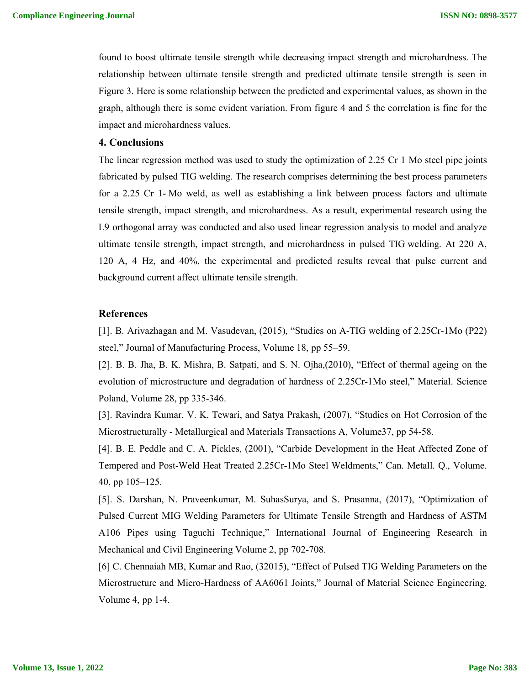found to boost ultimate tensile strength while decreasing impact strength and microhardness. The relationship between ultimate tensile strength and predicted ultimate tensile strength is seen in Figure 3. Here is some relationship between the predicted and experimental values, as shown in the graph, although there is some evident variation. From figure 4 and 5 the correlation is fine for the impact and microhardness values.

## **4. Conclusions**

The linear regression method was used to study the optimization of 2.25 Cr 1 Mo steel pipe joints fabricated by pulsed TIG welding. The research comprises determining the best process parameters for a 2.25 Cr 1- Mo weld, as well as establishing a link between process factors and ultimate tensile strength, impact strength, and microhardness. As a result, experimental research using the L9 orthogonal array was conducted and also used linear regression analysis to model and analyze ultimate tensile strength, impact strength, and microhardness in pulsed TIG welding. At 220 A, 120 A, 4 Hz, and 40%, the experimental and predicted results reveal that pulse current and background current affect ultimate tensile strength.

# **References**

[1]. B. Arivazhagan and M. Vasudevan, (2015), "Studies on A-TIG welding of 2.25Cr-1Mo (P22) steel," Journal of Manufacturing Process, Volume 18, pp 55–59.

[2]. B. B. Jha, B. K. Mishra, B. Satpati, and S. N. Ojha,(2010), "Effect of thermal ageing on the evolution of microstructure and degradation of hardness of 2.25Cr-1Mo steel," Material. Science Poland, Volume 28, pp 335-346.

[3]. Ravindra Kumar, V. K. Tewari, and Satya Prakash, (2007), "Studies on Hot Corrosion of the Microstructurally - Metallurgical and Materials Transactions A, Volume37, pp 54-58.

[4]. B. E. Peddle and C. A. Pickles, (2001), "Carbide Development in the Heat Affected Zone of Tempered and Post-Weld Heat Treated 2.25Cr-1Mo Steel Weldments," Can. Metall. Q., Volume. 40, pp 105–125.

[5]. S. Darshan, N. Praveenkumar, M. SuhasSurya, and S. Prasanna, (2017), "Optimization of Pulsed Current MIG Welding Parameters for Ultimate Tensile Strength and Hardness of ASTM A106 Pipes using Taguchi Technique," International Journal of Engineering Research in Mechanical and Civil Engineering Volume 2, pp 702-708.

[6] C. Chennaiah MB, Kumar and Rao, (32015), "Effect of Pulsed TIG Welding Parameters on the Microstructure and Micro-Hardness of AA6061 Joints," Journal of Material Science Engineering, Volume 4, pp 1-4.